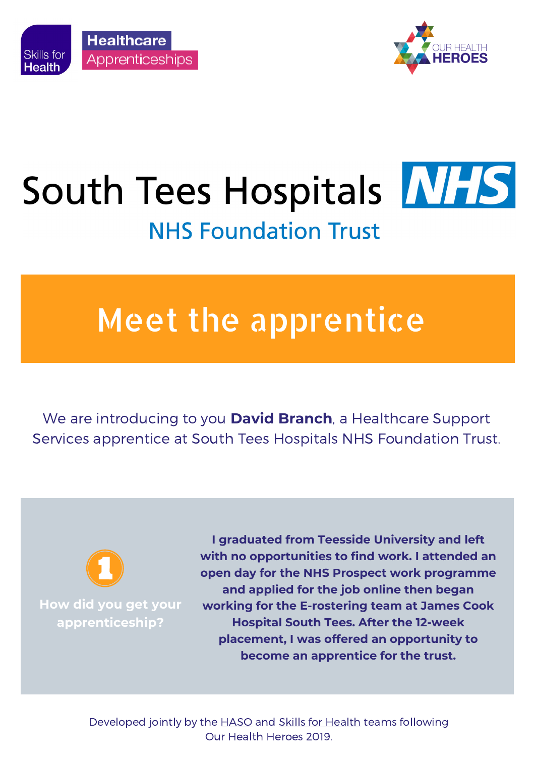



## South Tees Hospitals **MHS NHS Foundation Trust**

## Meet the apprentice

We are introducing to you **David Branch**, a Healthcare Support Services apprentice at South Tees Hospitals NHS Foundation Trust.



**How did you get your apprenticeship?**

**I graduated from Teesside University and left with no opportunities to find work. I attended an open day for the NHS Prospect work programme and applied for the job online then began working for the E-rostering team at James Cook Hospital South Tees. After the 12-week placement, I was offered an opportunity to become an apprentice for the trust.**